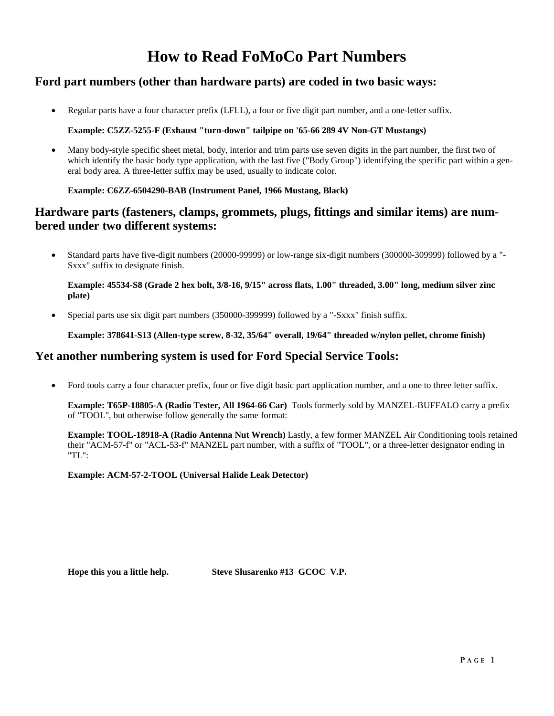## **How to Read FoMoCo Part Numbers**

### **Ford part numbers (other than hardware parts) are coded in two basic ways:**

• Regular parts have a four character prefix (LFLL), a four or five digit part number, and a one-letter suffix.

### **Example: C5ZZ-5255-F (Exhaust "turn-down" tailpipe on '65-66 289 4V Non-GT Mustangs)**

Many body-style specific sheet metal, body, interior and trim parts use seven digits in the part number, the first two of which identify the basic body type application, with the last five ("Body Group") identifying the specific part within a general body area. A three-letter suffix may be used, usually to indicate color.

### **Example: C6ZZ-6504290-BAB (Instrument Panel, 1966 Mustang, Black)**

### **Hardware parts (fasteners, clamps, grommets, plugs, fittings and similar items) are numbered under two different systems:**

• Standard parts have five-digit numbers (20000-99999) or low-range six-digit numbers (300000-309999) followed by a "- Sxxx" suffix to designate finish.

#### **Example: 45534-S8 (Grade 2 hex bolt, 3/8-16, 9/15" across flats, 1.00" threaded, 3.00" long, medium silver zinc plate)**

• Special parts use six digit part numbers (350000-399999) followed by a "-Sxxx" finish suffix.

**Example: 378641-S13 (Allen-type screw, 8-32, 35/64" overall, 19/64" threaded w/nylon pellet, chrome finish)**

### **Yet another numbering system is used for Ford Special Service Tools:**

• Ford tools carry a four character prefix, four or five digit basic part application number, and a one to three letter suffix.

**Example: T65P-18805-A (Radio Tester, All 1964-66 Car)** Tools formerly sold by MANZEL-BUFFALO carry a prefix of "TOOL", but otherwise follow generally the same format:

**Example: TOOL-18918-A (Radio Antenna Nut Wrench)** Lastly, a few former MANZEL Air Conditioning tools retained their "ACM-57-f" or "ACL-53-f" MANZEL part number, with a suffix of "TOOL", or a three-letter designator ending in "TL":

**Example: ACM-57-2-TOOL (Universal Halide Leak Detector)** 

**Hope this you a little help. Steve Slusarenko #13 GCOC V.P.**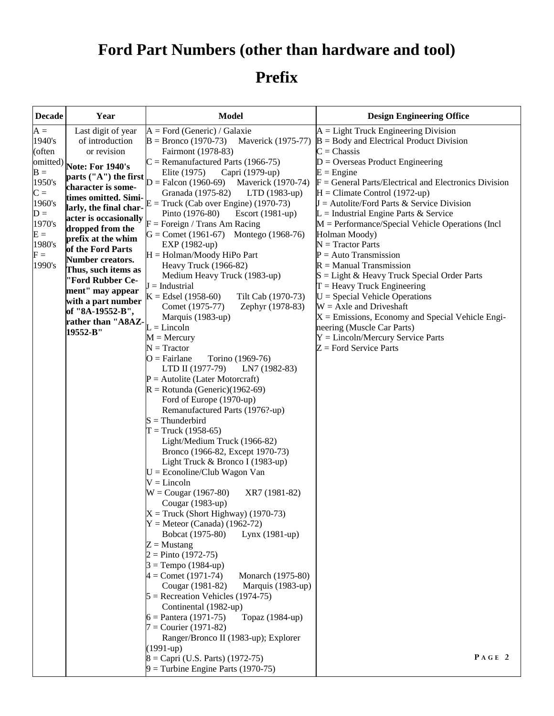# **Ford Part Numbers (other than hardware and tool)**

# **Prefix**

| <b>Decade</b> | Year                                        | <b>Model</b>                                                                    | <b>Design Engineering Office</b>                            |  |  |
|---------------|---------------------------------------------|---------------------------------------------------------------------------------|-------------------------------------------------------------|--|--|
| $A =$         | Last digit of year                          | $A = Ford (Generic) / Galaxie$                                                  | $A = Light$ Truck Engineering Division                      |  |  |
| 1940's        | of introduction                             | $B = Bronco(1970-73)$<br>Maverick (1975-77)                                     | $B = Body$ and Electrical Product Division                  |  |  |
| (often        | or revision                                 | Fairmont (1978-83)                                                              | $C =$ Chassis                                               |  |  |
| omitted)      | Note: For 1940's                            | $C =$ Remanufactured Parts (1966-75)                                            | $D =$ Overseas Product Engineering                          |  |  |
| $B =$         |                                             | Elite (1975)<br>Capri (1979-up)                                                 | $E =$ Engine                                                |  |  |
| 1950's        | parts ("A") the first<br>character is some- | $D =$ Falcon (1960-69) Maverick (1970-74)                                       | $F =$ General Parts/Electrical and Electronics Division     |  |  |
| $C =$         | times omitted. Simi-                        | Granada (1975-82)<br>$LTD(1983-up)$                                             | $H =$ Climate Control (1972-up)                             |  |  |
| 1960's        | larly, the final char-                      | $E = \text{Truck}$ (Cab over Engine) (1970-73)                                  | $J = \text{Autolite/Ford Parts} \& \text{Service Division}$ |  |  |
| $D =$         | acter is occasionally                       | Pinto (1976-80)<br>Escort (1981-up)                                             | $L =$ Industrial Engine Parts & Service                     |  |  |
| 1970's        | dropped from the                            | $F =$ Foreign / Trans Am Racing                                                 | $M = Performance/Special Vehicle Operations (Incl)$         |  |  |
| $E =$         | prefix at the whim                          | $G =$ Comet (1961-67) Montego (1968-76)                                         | Holman Moody)                                               |  |  |
| 1980's        | of the Ford Parts                           | EXP (1982-up)                                                                   | $N = Tractor Parts$                                         |  |  |
| ${\rm F} =$   | <b>Number creators.</b>                     | H = Holman/Moody HiPo Part                                                      | $P = Auto Transmission$                                     |  |  |
| 1990's        | Thus, such items as                         | Heavy Truck (1966-82)                                                           | $R =$ Manual Transmission                                   |  |  |
|               | "Ford Rubber Ce-                            | Medium Heavy Truck (1983-up)                                                    | $S = Light & Heavy$ Truck Special Order Parts               |  |  |
|               | ment" may appear                            | $J =$ Industrial                                                                | $T =$ Heavy Truck Engineering                               |  |  |
|               | with a part number                          | $K = Edsel(1958-60)$<br>Tilt Cab (1970-73)                                      | $U = Special$ Vehicle Operations                            |  |  |
|               | of "8A-19552-B",                            | Zephyr (1978-83)<br>Comet (1975-77)                                             | $W = Axle$ and Driveshaft                                   |  |  |
|               | rather than "A8AZ-                          | Marquis (1983-up)                                                               | $X =$ Emissions, Economy and Special Vehicle Engi-          |  |  |
|               | 19552-B"                                    | $L = Lincoln$                                                                   | neering (Muscle Car Parts)                                  |  |  |
|               |                                             | $M =$ Mercury                                                                   | $Y = Lincoln/Mercury Service Parts$                         |  |  |
|               |                                             | $N = Tractor$                                                                   | $Z =$ Ford Service Parts                                    |  |  |
|               |                                             | $O = Fairlane$<br>Torino (1969-76)                                              |                                                             |  |  |
|               |                                             | LTD II (1977-79)<br>LN7 (1982-83)                                               |                                                             |  |  |
|               |                                             | $P =$ Autolite (Later Motorcraft)                                               |                                                             |  |  |
|               |                                             | $R =$ Rotunda (Generic)(1962-69)                                                |                                                             |  |  |
|               |                                             | Ford of Europe (1970-up)                                                        |                                                             |  |  |
|               |                                             | Remanufactured Parts (1976?-up)                                                 |                                                             |  |  |
|               |                                             | $S = Thunderbird$                                                               |                                                             |  |  |
|               |                                             | $T = \text{Truck} (1958-65)$                                                    |                                                             |  |  |
|               |                                             | Light/Medium Truck (1966-82)                                                    |                                                             |  |  |
|               |                                             | Bronco (1966-82, Except 1970-73)                                                |                                                             |  |  |
|               |                                             | Light Truck & Bronco I (1983-up)                                                |                                                             |  |  |
|               |                                             | $U = E$ conoline/Club Wagon Van<br>$V = Lincoln$                                |                                                             |  |  |
|               |                                             | $W = Cougar (1967-80)$<br>XR7 (1981-82)                                         |                                                             |  |  |
|               |                                             | Cougar (1983-up)                                                                |                                                             |  |  |
|               |                                             | $X = \text{Truck}$ (Short Highway) (1970-73)<br>$Y =$ Meteor (Canada) (1962-72) |                                                             |  |  |
|               |                                             | Bobcat (1975-80)<br>Lynx (1981-up)                                              |                                                             |  |  |
|               |                                             | $Z =$ Mustang                                                                   |                                                             |  |  |
|               |                                             | $2 = P$ into (1972-75)                                                          |                                                             |  |  |
|               |                                             | $3 = Tempo(1984-up)$                                                            |                                                             |  |  |
|               |                                             | $4 =$ Comet (1971-74)<br>Monarch (1975-80)                                      |                                                             |  |  |
|               |                                             | Cougar (1981-82)<br>Marquis (1983-up)                                           |                                                             |  |  |
|               |                                             | $5 =$ Recreation Vehicles (1974-75)                                             |                                                             |  |  |
|               |                                             | Continental (1982-up)                                                           |                                                             |  |  |
|               |                                             | $6 =$ Pantera (1971-75)<br>Topaz (1984-up)                                      |                                                             |  |  |
|               |                                             | $7 =$ Courier (1971-82)                                                         |                                                             |  |  |
|               |                                             | Ranger/Bronco II (1983-up); Explorer                                            |                                                             |  |  |
|               |                                             | $(1991-up)$                                                                     |                                                             |  |  |
|               |                                             | $8 = Capri$ (U.S. Parts) (1972-75)                                              | PAGE 2                                                      |  |  |
|               |                                             | $9 =$ Turbine Engine Parts (1970-75)                                            |                                                             |  |  |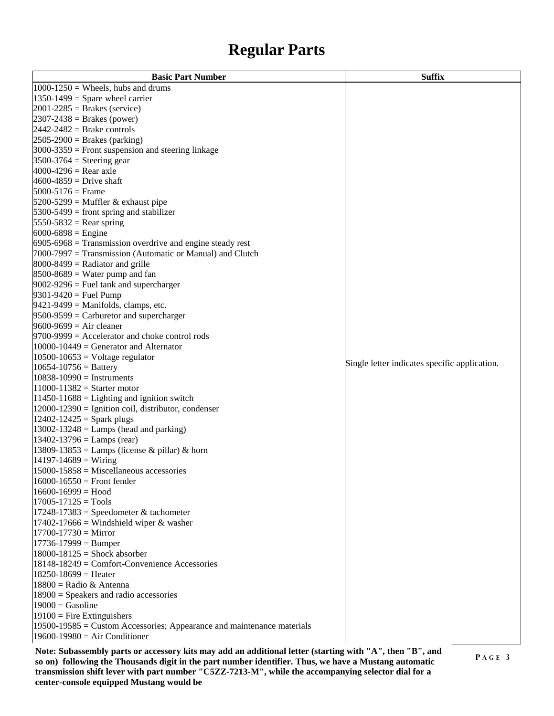## **Regular Parts**

| <b>Basic Part Number</b>                                                   | <b>Suffix</b>                                 |
|----------------------------------------------------------------------------|-----------------------------------------------|
| $1000-1250$ = Wheels, hubs and drums                                       |                                               |
| $1350-1499$ = Spare wheel carrier                                          |                                               |
| $2001 - 2285$ = Brakes (service)                                           |                                               |
| $2307 - 2438 =$ Brakes (power)                                             |                                               |
| $2442 - 2482 =$ Brake controls                                             |                                               |
| $2505-2900$ = Brakes (parking)                                             |                                               |
| $3000-3359$ = Front suspension and steering linkage                        |                                               |
| $3500-3764$ = Steering gear                                                |                                               |
| $4000 - 4296 =$ Rear axle                                                  |                                               |
| $4600 - 4859 =$ Drive shaft                                                |                                               |
| $5000 - 5176 =$ Frame                                                      |                                               |
| $5200-5299$ = Muffler & exhaust pipe                                       |                                               |
| $5300-5499$ = front spring and stabilizer                                  |                                               |
| $5550-5832$ = Rear spring                                                  |                                               |
| $6000 - 6898 =$ Engine                                                     |                                               |
| $6905-6968$ = Transmission overdrive and engine steady rest                |                                               |
| $7000-7997$ = Transmission (Automatic or Manual) and Clutch                |                                               |
| $8000 - 8499$ = Radiator and grille                                        |                                               |
| $8500 - 8689$ = Water pump and fan                                         |                                               |
| $9002 - 9296$ = Fuel tank and supercharger                                 |                                               |
| $9301 - 9420 =$ Fuel Pump                                                  |                                               |
| $9421 - 9499$ = Manifolds, clamps, etc.                                    |                                               |
| $9500-9599 =$ Carburetor and supercharger                                  |                                               |
| $9600 - 9699 = Air cleaner$                                                |                                               |
| $9700-9999$ = Accelerator and choke control rods                           |                                               |
| $10000 - 10449 =$ Generator and Alternator                                 |                                               |
| $10500 - 10653 =$ Voltage regulator                                        |                                               |
| $10654 - 10756 =$ Battery                                                  | Single letter indicates specific application. |
| $10838-10990$ = Instruments                                                |                                               |
| $11000 - 11382 =$ Starter motor                                            |                                               |
| $11450 - 11688 =$ Lighting and ignition switch                             |                                               |
| 12000-12390 = Ignition coil, distributor, condenser                        |                                               |
| $12402 - 12425 =$ Spark plugs                                              |                                               |
| $13002 - 13248 =$ Lamps (head and parking)                                 |                                               |
| $13402 - 13796 =$ Lamps (rear)                                             |                                               |
| 13809-13853 = Lamps (license & pillar) & horn                              |                                               |
| $14197 - 14689 = \text{Wiring}$                                            |                                               |
| $15000 - 15858 =$ Miscellaneous accessories                                |                                               |
| $16000 - 16550 =$ Front fender                                             |                                               |
| $16600 - 16999 =$ Hood                                                     |                                               |
| $17005 - 17125 = Tools$                                                    |                                               |
| $17248 - 17383 =$ Speedometer & tachometer                                 |                                               |
| $17402 - 17666$ = Windshield wiper & washer                                |                                               |
| $17700 - 17730 =$ Mirror                                                   |                                               |
| $17736 - 17999 = Bumper$                                                   |                                               |
| $18000 - 18125 =$ Shock absorber                                           |                                               |
| 18148-18249 = Comfort-Convenience Accessories                              |                                               |
| $18250 - 18699 =$ Heater                                                   |                                               |
| $18800$ = Radio & Antenna                                                  |                                               |
| $18900 =$ Speakers and radio accessories                                   |                                               |
| $19000 =$ Gasoline                                                         |                                               |
| $19100$ = Fire Extinguishers                                               |                                               |
| $19500 - 19585 =$ Custom Accessories; Appearance and maintenance materials |                                               |
| $19600 - 19980 = Air Conditioner$                                          |                                               |

**Note: Subassembly parts or accessory kits may add an additional letter (starting with "A", then "B", and so on) following the Thousands digit in the part number identifier. Thus, we have a Mustang automatic transmission shift lever with part number "C5ZZ-7213-M", while the accompanying selector dial for a center-console equipped Mustang would be**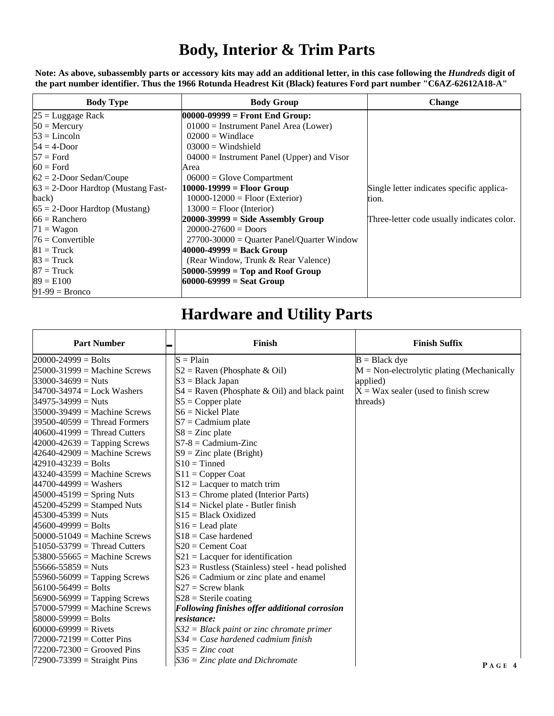## **Body, Interior & Trim Parts**

Note: As above, subassembly parts or accessory kits may add an additional letter, in this case following the *Hundreds* digit of **the part number identifier. Thus the 1966 Rotunda Headrest Kit (Black) features Ford part number "C6AZ-62612A18-A"** 

| <b>Body Type</b>                      | <b>Body Group</b>                              | <b>Change</b>                              |  |  |
|---------------------------------------|------------------------------------------------|--------------------------------------------|--|--|
| $25 =$ Luggage Rack                   | $00000-09999 =$ Front End Group:               |                                            |  |  |
| $50$ = Mercury                        | $01000$ = Instrument Panel Area (Lower)        |                                            |  |  |
| $53 =$ Lincoln                        | $02000 =$ Windlace                             |                                            |  |  |
| $54 = 4$ -Door                        | $03000 =$ Windshield                           |                                            |  |  |
| $57 =$ Ford                           | $04000$ = Instrument Panel (Upper) and Visor   |                                            |  |  |
| $60 =$ Ford                           | Area                                           |                                            |  |  |
| $62 = 2$ -Door Sedan/Coupe            | $06000 =$ Glove Compartment                    |                                            |  |  |
| $63 = 2$ -Door Hardtop (Mustang Fast- | 10000-19999 = Floor Group                      | Single letter indicates specific applica-  |  |  |
| back)                                 | $10000 - 12000 =$ Floor (Exterior)             | tion.                                      |  |  |
| $65 = 2$ -Door Hardtop (Mustang)      | $13000 =$ Floor (Interior)                     |                                            |  |  |
| $66$ = Ranchero                       | $20000-39999 =$ Side Assembly Group            | Three-letter code usually indicates color. |  |  |
| $71 = Wagon$                          | $20000 - 27600 =$ Doors                        |                                            |  |  |
| $76$ = Convertible                    | $27700 - 30000 =$ Quarter Panel/Quarter Window |                                            |  |  |
| $81 =$ Truck                          | $40000 - 49999 = Back Group$                   |                                            |  |  |
| $83 =$ Truck                          | (Rear Window, Trunk & Rear Valence)            |                                            |  |  |
| $87 =$ Truck                          | $50000 - 59999 = Top$ and Roof Group           |                                            |  |  |
| $89 = E100$                           | $60000 - 69999 =$ Seat Group                   |                                            |  |  |
| $91-99 =$ Bronco                      |                                                |                                            |  |  |

## **Hardware and Utility Parts**

| <b>Part Number</b>               |  | <b>Finish</b>                                        | <b>Finish Suffix</b>                          |
|----------------------------------|--|------------------------------------------------------|-----------------------------------------------|
| $20000 - 24999 =$ Bolts          |  | $S = Plain$                                          | $B = Black$ dye                               |
| $25000 - 31999$ = Machine Screws |  | $S2 =$ Raven (Phosphate & Oil)                       | $M = Non-electrolytic plating (Mechanically)$ |
| $33000 - 34699 = Nuts$           |  | $S3 = Black Japan$                                   | applied)                                      |
| $34700 - 34974 =$ Lock Washers   |  | $S4 =$ Raven (Phosphate & Oil) and black paint       | $X = Wax$ sealer (used to finish screw        |
| $34975 - 34999 = Nuts$           |  | $S5 = Copper plate$                                  | threads)                                      |
| $35000 - 39499 =$ Machine Screws |  | $S6 =$ Nickel Plate                                  |                                               |
| $39500 - 40599 =$ Thread Formers |  | $S7 =$ Cadmium plate                                 |                                               |
| $40600-41999$ = Thread Cutters   |  | $S8 = Zinc$ plate                                    |                                               |
| $42000 - 42639 =$ Tapping Screws |  | $S7-8 = Cadmium-Zinc$                                |                                               |
| $42640 - 42909 =$ Machine Screws |  | $S9 = Zinc$ plate (Bright)                           |                                               |
| $42910 - 43239 =$ Bolts          |  | $S10 = T$ inned                                      |                                               |
| $43240 - 43599$ = Machine Screws |  | $S11 = Copper$ Coat                                  |                                               |
| $44700 - 44999 =$ Washers        |  | $S12$ = Lacquer to match trim                        |                                               |
| $45000 - 45199 =$ Spring Nuts    |  | $S13$ = Chrome plated (Interior Parts)               |                                               |
| $45200 - 45299 =$ Stamped Nuts   |  | $S14$ = Nickel plate - Butler finish                 |                                               |
| $45300 - 45399 = Nuts$           |  | $S15 = Black Oxidized$                               |                                               |
| $45600 - 49999 =$ Bolts          |  | $S16 =$ Lead plate                                   |                                               |
| $50000 - 51049 =$ Machine Screws |  | $S18 = Case hardened$                                |                                               |
| $51050 - 53799$ = Thread Cutters |  | $S20 =$ Cement Coat                                  |                                               |
| $53800 - 55665 =$ Machine Screws |  | $S21$ = Lacquer for identification                   |                                               |
| $55666 - 55859 = Nuts$           |  | $S23$ = Rustless (Stainless) steel - head polished   |                                               |
| $55960 - 56099 =$ Tapping Screws |  | $S26 =$ Cadmium or zinc plate and enamel             |                                               |
| $56100 - 56499 =$ Bolts          |  | $S27$ = Screw blank                                  |                                               |
| $56900 - 56999 =$ Tapping Screws |  | $S28$ = Sterile coating                              |                                               |
| $57000 - 57999$ = Machine Screws |  | <b>Following finishes offer additional corrosion</b> |                                               |
| $58000 - 59999 =$ Bolts          |  | resistance:                                          |                                               |
| $60000 - 69999 =$ Rivets         |  | $S32 = Black$ paint or zinc chromate primer          |                                               |
| $72000 - 72199 =$ Cotter Pins    |  | $S34 = Case$ hardened cadmium finish                 |                                               |
| $72200 - 72300 =$ Grooved Pins   |  | $S35 = \mathbf{Z}$ inc coat                          |                                               |
| $72900 - 73399 =$ Straight Pins  |  | $S36 =$ Zinc plate and Dichromate                    | PAGE 4                                        |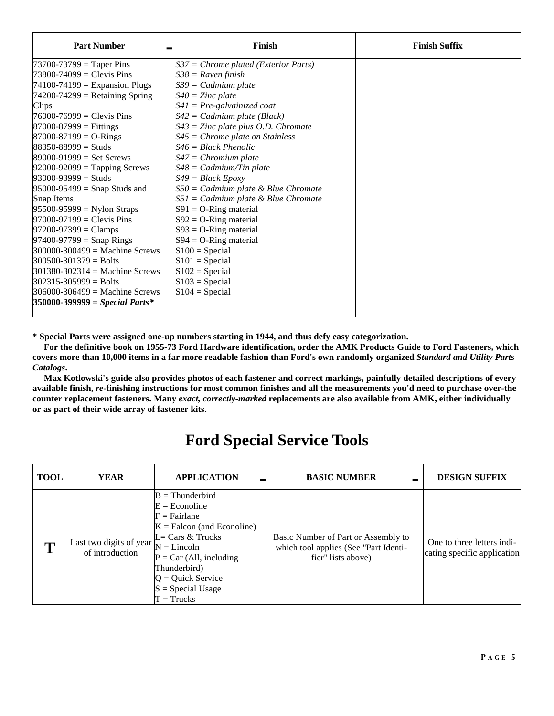| <b>Part Number</b>                 | $\blacksquare$ | Finish                                 | <b>Finish Suffix</b> |
|------------------------------------|----------------|----------------------------------------|----------------------|
| $73700 - 73799 =$ Taper Pins       |                | $S37 =$ Chrome plated (Exterior Parts) |                      |
| $73800 - 74099 =$ Clevis Pins      |                | $S38 =$ Raven finish                   |                      |
| $74100-74199$ = Expansion Plugs    |                | $S39 = Cadmium plate$                  |                      |
| $74200 - 74299$ = Retaining Spring |                | $S40 = \mathsf{Z}$ inc plate           |                      |
| Clips                              |                | $S41 = Pre-galvainized coat$           |                      |
| $76000 - 76999 =$ Clevis Pins      |                | $S42 = Cadmium plate (Black)$          |                      |
| $87000 - 87999 = Fittings$         |                | $S43 =$ Zinc plate plus O.D. Chromate  |                      |
| $87000 - 87199 = O-Rings$          |                | $S45 =$ Chrome plate on Stainless      |                      |
| $88350 - 88999 =$ Studs            |                | $S46 = Black Phenolic$                 |                      |
| $89000 - 91999 = Set$ Set Screws   |                | $S47 = Chromium plate$                 |                      |
| $92000 - 92099 =$ Tapping Screws   |                | $S48 = Cadmium/ Tin$ plate             |                      |
| $93000 - 93999 =$ Studs            |                | $S49 = Black Epoxy$                    |                      |
| $95000 - 95499 =$ Snap Studs and   |                | $S50 = Cadmium$ plate & Blue Chromate  |                      |
| Snap Items                         |                | $S51 = Cadmium$ plate & Blue Chromate  |                      |
| $95500 - 95999 = N$ ylon Straps    |                | $S91 = O-Ring material$                |                      |
| $97000 - 97199 =$ Clevis Pins      |                | $S92 = O-Ring material$                |                      |
| $97200 - 97399 = \text{Clamps}$    |                | $S93 = O-Ring material$                |                      |
| $97400 - 97799 =$ Snap Rings       |                | $S94 = O-Ring material$                |                      |
| $300000 - 300499 =$ Machine Screws |                | $S100 = Special$                       |                      |
| $300500 - 301379 =$ Bolts          |                | $S101 = Special$                       |                      |
| $301380 - 302314 =$ Machine Screws |                | $S102 = Special$                       |                      |
| $302315 - 305999 =$ Bolts          |                | $S103 = Special$                       |                      |
| $306000 - 306499 =$ Machine Screws |                | $S104 = Special$                       |                      |
| $350000 - 399999 = Special Parts*$ |                |                                        |                      |
|                                    |                |                                        |                      |

**\* Special Parts were assigned one-up numbers starting in 1944, and thus defy easy categorization.** 

 **For the definitive book on 1955-73 Ford Hardware identification, order the AMK Products Guide to Ford Fasteners, which covers more than 10,000 items in a far more readable fashion than Ford's own randomly organized** *Standard and Utility Parts Catalogs***.** 

 **Max Kotlowski's guide also provides photos of each fastener and correct markings, painfully detailed descriptions of every available finish,** *re***-finishing instructions for most common finishes and all the measurements you'd need to purchase over-the counter replacement fasteners. Many** *exact, correctly-marked* **replacements are also available from AMK, either individually or as part of their wide array of fastener kits.** 

## **Ford Special Service Tools**

| <b>TOOL</b> | <b>YEAR</b>                                | <b>APPLICATION</b>                                                                                                                                                                                                                                         | <b>BASIC NUMBER</b>                                                                                | <b>DESIGN SUFFIX</b>                                      |
|-------------|--------------------------------------------|------------------------------------------------------------------------------------------------------------------------------------------------------------------------------------------------------------------------------------------------------------|----------------------------------------------------------------------------------------------------|-----------------------------------------------------------|
| m           | Last two digits of year<br>of introduction | $B = Thunderbird$<br>$E = E$ conoline<br>$F = Fairlane$<br>$K =$ Falcon (and Econoline)<br>$L = \text{Cars} \& \text{Trucks}$<br>$N =$ Lincoln<br>$P = Car (All, including)$<br>Thunderbird)<br>$Q =$ Quick Service<br>$S = Special Usage$<br>$T =$ Trucks | Basic Number of Part or Assembly to<br>which tool applies (See "Part Identi-<br>fier" lists above) | One to three letters indi-<br>cating specific application |